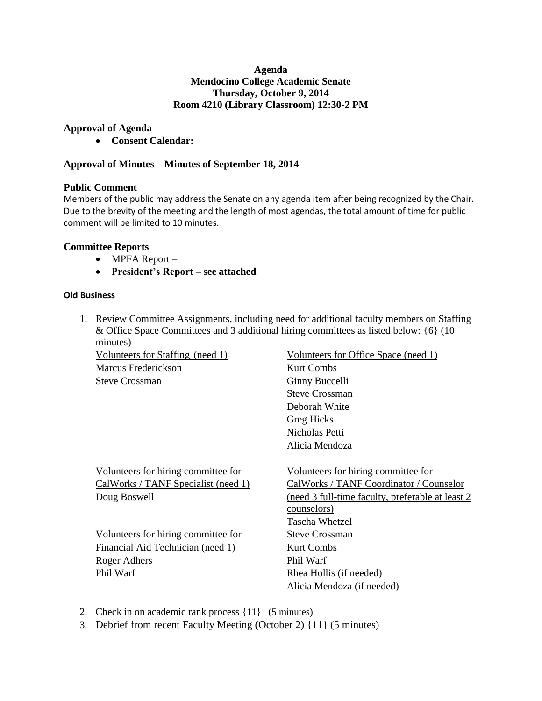## **Agenda Mendocino College Academic Senate Thursday, October 9, 2014 Room 4210 (Library Classroom) 12:30-2 PM**

# **Approval of Agenda**

**Consent Calendar:** 

# **Approval of Minutes – Minutes of September 18, 2014**

## **Public Comment**

Members of the public may address the Senate on any agenda item after being recognized by the Chair. Due to the brevity of the meeting and the length of most agendas, the total amount of time for public comment will be limited to 10 minutes.

# **Committee Reports**

- MPFA Report –
- **President's Report – see attached**

## **Old Business**

1. Review Committee Assignments, including need for additional faculty members on Staffing & Office Space Committees and 3 additional hiring committees as listed below: {6} (10 minutes)

Marcus Frederickson Kurt Combs Steve Crossman Ginny Buccelli

Volunteers for hiring committee for Volunteers for hiring committee for

Volunteers for hiring committee for Steve Crossman Financial Aid Technician (need 1) Kurt Combs Roger Adhers Phil Warf Phil Warf Rhea Hollis (if needed)

Volunteers for Staffing (need 1) Volunteers for Office Space (need 1) Steve Crossman Deborah White Greg Hicks Nicholas Petti Alicia Mendoza

CalWorks / TANF Specialist (need 1) CalWorks / TANF Coordinator / Counselor Doug Boswell (need 3 full-time faculty, preferable at least 2 counselors) Tascha Whetzel Alicia Mendoza (if needed)

- 2. Check in on academic rank process {11} (5 minutes)
- 3. Debrief from recent Faculty Meeting (October 2) {11} (5 minutes)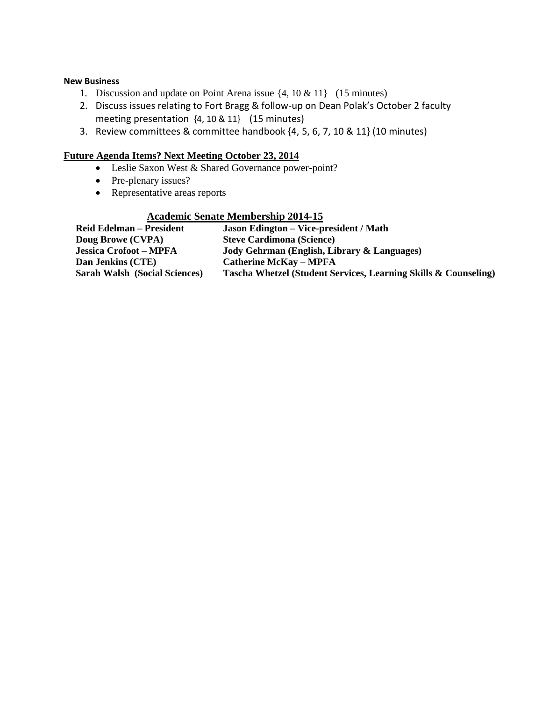### **New Business**

- 1. Discussion and update on Point Arena issue {4, 10 & 11} (15 minutes)
- 2. Discuss issues relating to Fort Bragg & follow-up on Dean Polak's October 2 faculty meeting presentation {4, 10 & 11} (15 minutes)
- 3. Review committees & committee handbook {4, 5, 6, 7, 10 & 11} (10 minutes)

## **Future Agenda Items? Next Meeting October 23, 2014**

- Leslie Saxon West & Shared Governance power-point?
- Pre-plenary issues?
- Representative areas reports

#### **Academic Senate Membership 2014-15**

| <b>Reid Edelman – President</b>      | <b>Jason Edington – Vice-president / Math</b>                   |
|--------------------------------------|-----------------------------------------------------------------|
| Doug Browe (CVPA)                    | <b>Steve Cardimona (Science)</b>                                |
| <b>Jessica Crofoot – MPFA</b>        | Jody Gehrman (English, Library & Languages)                     |
| Dan Jenkins (CTE)                    | <b>Catherine McKay - MPFA</b>                                   |
| <b>Sarah Walsh (Social Sciences)</b> | Tascha Whetzel (Student Services, Learning Skills & Counseling) |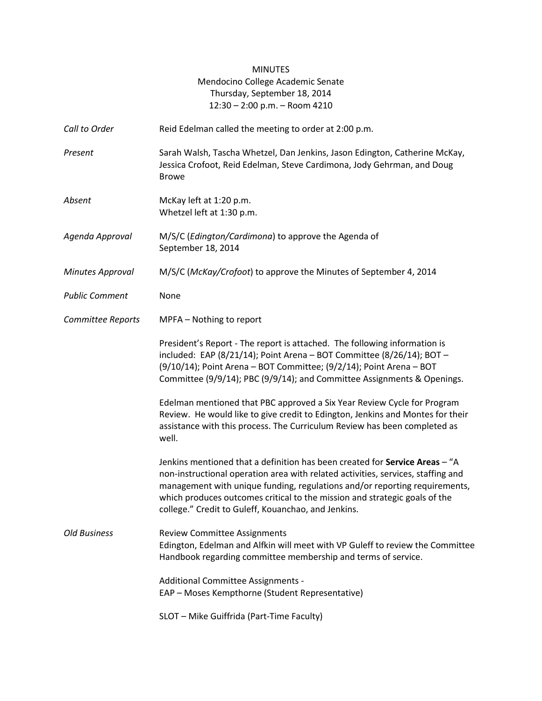# MINUTES Mendocino College Academic Senate Thursday, September 18, 2014 12:30 – 2:00 p.m. – Room 4210

| Call to Order           | Reid Edelman called the meeting to order at 2:00 p.m.                                                                                                                                                                                                                                                                                                                              |
|-------------------------|------------------------------------------------------------------------------------------------------------------------------------------------------------------------------------------------------------------------------------------------------------------------------------------------------------------------------------------------------------------------------------|
| Present                 | Sarah Walsh, Tascha Whetzel, Dan Jenkins, Jason Edington, Catherine McKay,<br>Jessica Crofoot, Reid Edelman, Steve Cardimona, Jody Gehrman, and Doug<br><b>Browe</b>                                                                                                                                                                                                               |
| Absent                  | McKay left at 1:20 p.m.<br>Whetzel left at 1:30 p.m.                                                                                                                                                                                                                                                                                                                               |
| Agenda Approval         | M/S/C (Edington/Cardimona) to approve the Agenda of<br>September 18, 2014                                                                                                                                                                                                                                                                                                          |
| <b>Minutes Approval</b> | M/S/C (McKay/Crofoot) to approve the Minutes of September 4, 2014                                                                                                                                                                                                                                                                                                                  |
| <b>Public Comment</b>   | None                                                                                                                                                                                                                                                                                                                                                                               |
| Committee Reports       | MPFA - Nothing to report                                                                                                                                                                                                                                                                                                                                                           |
|                         | President's Report - The report is attached. The following information is<br>included: EAP (8/21/14); Point Arena - BOT Committee (8/26/14); BOT -<br>(9/10/14); Point Arena - BOT Committee; (9/2/14); Point Arena - BOT<br>Committee (9/9/14); PBC (9/9/14); and Committee Assignments & Openings.                                                                               |
|                         | Edelman mentioned that PBC approved a Six Year Review Cycle for Program<br>Review. He would like to give credit to Edington, Jenkins and Montes for their<br>assistance with this process. The Curriculum Review has been completed as<br>well.                                                                                                                                    |
|                         | Jenkins mentioned that a definition has been created for Service Areas - "A<br>non-instructional operation area with related activities, services, staffing and<br>management with unique funding, regulations and/or reporting requirements,<br>which produces outcomes critical to the mission and strategic goals of the<br>college." Credit to Guleff, Kouanchao, and Jenkins. |
| <b>Old Business</b>     | <b>Review Committee Assignments</b><br>Edington, Edelman and Alfkin will meet with VP Guleff to review the Committee<br>Handbook regarding committee membership and terms of service.                                                                                                                                                                                              |
|                         | Additional Committee Assignments -<br>EAP - Moses Kempthorne (Student Representative)                                                                                                                                                                                                                                                                                              |
|                         | SLOT - Mike Guiffrida (Part-Time Faculty)                                                                                                                                                                                                                                                                                                                                          |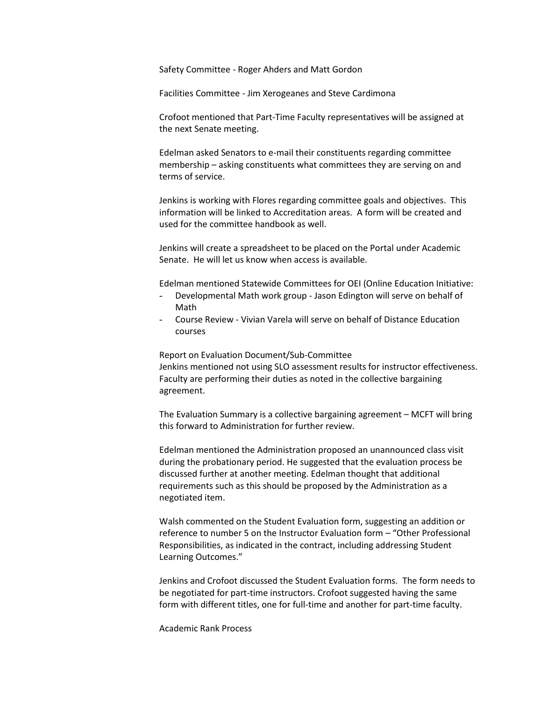Safety Committee - Roger Ahders and Matt Gordon

Facilities Committee - Jim Xerogeanes and Steve Cardimona

Crofoot mentioned that Part-Time Faculty representatives will be assigned at the next Senate meeting.

Edelman asked Senators to e-mail their constituents regarding committee membership – asking constituents what committees they are serving on and terms of service.

Jenkins is working with Flores regarding committee goals and objectives. This information will be linked to Accreditation areas. A form will be created and used for the committee handbook as well.

Jenkins will create a spreadsheet to be placed on the Portal under Academic Senate. He will let us know when access is available.

Edelman mentioned Statewide Committees for OEI (Online Education Initiative:

- Developmental Math work group Jason Edington will serve on behalf of Math
- Course Review Vivian Varela will serve on behalf of Distance Education courses

Report on Evaluation Document/Sub-Committee Jenkins mentioned not using SLO assessment results for instructor effectiveness. Faculty are performing their duties as noted in the collective bargaining agreement.

The Evaluation Summary is a collective bargaining agreement – MCFT will bring this forward to Administration for further review.

Edelman mentioned the Administration proposed an unannounced class visit during the probationary period. He suggested that the evaluation process be discussed further at another meeting. Edelman thought that additional requirements such as this should be proposed by the Administration as a negotiated item.

Walsh commented on the Student Evaluation form, suggesting an addition or reference to number 5 on the Instructor Evaluation form – "Other Professional Responsibilities, as indicated in the contract, including addressing Student Learning Outcomes."

Jenkins and Crofoot discussed the Student Evaluation forms. The form needs to be negotiated for part-time instructors. Crofoot suggested having the same form with different titles, one for full-time and another for part-time faculty.

Academic Rank Process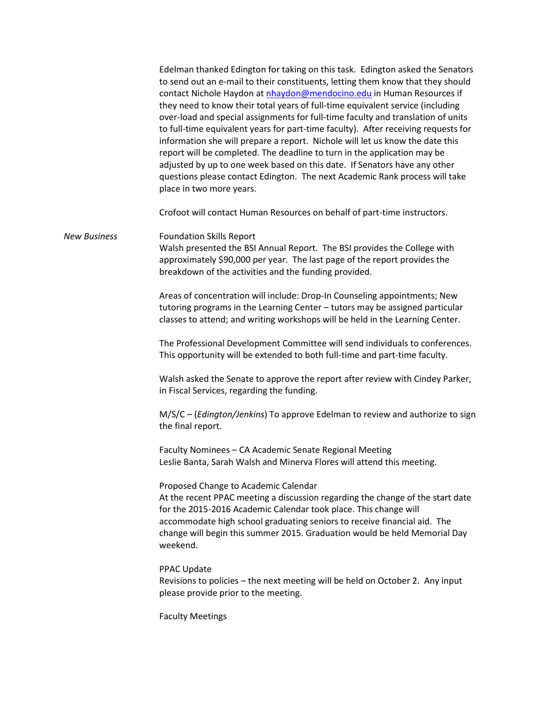|                     | Edelman thanked Edington for taking on this task. Edington asked the Senators<br>to send out an e-mail to their constituents, letting them know that they should<br>contact Nichole Haydon at nhaydon@mendocino.edu in Human Resources if<br>they need to know their total years of full-time equivalent service (including<br>over-load and special assignments for full-time faculty and translation of units<br>to full-time equivalent years for part-time faculty). After receiving requests for<br>information she will prepare a report. Nichole will let us know the date this<br>report will be completed. The deadline to turn in the application may be<br>adjusted by up to one week based on this date. If Senators have any other<br>questions please contact Edington. The next Academic Rank process will take<br>place in two more years. |
|---------------------|------------------------------------------------------------------------------------------------------------------------------------------------------------------------------------------------------------------------------------------------------------------------------------------------------------------------------------------------------------------------------------------------------------------------------------------------------------------------------------------------------------------------------------------------------------------------------------------------------------------------------------------------------------------------------------------------------------------------------------------------------------------------------------------------------------------------------------------------------------|
|                     | Crofoot will contact Human Resources on behalf of part-time instructors.                                                                                                                                                                                                                                                                                                                                                                                                                                                                                                                                                                                                                                                                                                                                                                                   |
| <b>New Business</b> | <b>Foundation Skills Report</b><br>Walsh presented the BSI Annual Report. The BSI provides the College with<br>approximately \$90,000 per year. The last page of the report provides the<br>breakdown of the activities and the funding provided.                                                                                                                                                                                                                                                                                                                                                                                                                                                                                                                                                                                                          |
|                     | Areas of concentration will include: Drop-In Counseling appointments; New<br>tutoring programs in the Learning Center - tutors may be assigned particular<br>classes to attend; and writing workshops will be held in the Learning Center.                                                                                                                                                                                                                                                                                                                                                                                                                                                                                                                                                                                                                 |
|                     | The Professional Development Committee will send individuals to conferences.<br>This opportunity will be extended to both full-time and part-time faculty.                                                                                                                                                                                                                                                                                                                                                                                                                                                                                                                                                                                                                                                                                                 |
|                     | Walsh asked the Senate to approve the report after review with Cindey Parker,<br>in Fiscal Services, regarding the funding.                                                                                                                                                                                                                                                                                                                                                                                                                                                                                                                                                                                                                                                                                                                                |
|                     | M/S/C - (Edington/Jenkins) To approve Edelman to review and authorize to sign<br>the final report.                                                                                                                                                                                                                                                                                                                                                                                                                                                                                                                                                                                                                                                                                                                                                         |
|                     | Faculty Nominees - CA Academic Senate Regional Meeting<br>Leslie Banta, Sarah Walsh and Minerva Flores will attend this meeting.                                                                                                                                                                                                                                                                                                                                                                                                                                                                                                                                                                                                                                                                                                                           |
|                     | Proposed Change to Academic Calendar<br>At the recent PPAC meeting a discussion regarding the change of the start date<br>for the 2015-2016 Academic Calendar took place. This change will<br>accommodate high school graduating seniors to receive financial aid. The<br>change will begin this summer 2015. Graduation would be held Memorial Day<br>weekend.                                                                                                                                                                                                                                                                                                                                                                                                                                                                                            |
|                     | PPAC Update<br>Revisions to policies - the next meeting will be held on October 2. Any input<br>please provide prior to the meeting.                                                                                                                                                                                                                                                                                                                                                                                                                                                                                                                                                                                                                                                                                                                       |
|                     | <b>Faculty Meetings</b>                                                                                                                                                                                                                                                                                                                                                                                                                                                                                                                                                                                                                                                                                                                                                                                                                                    |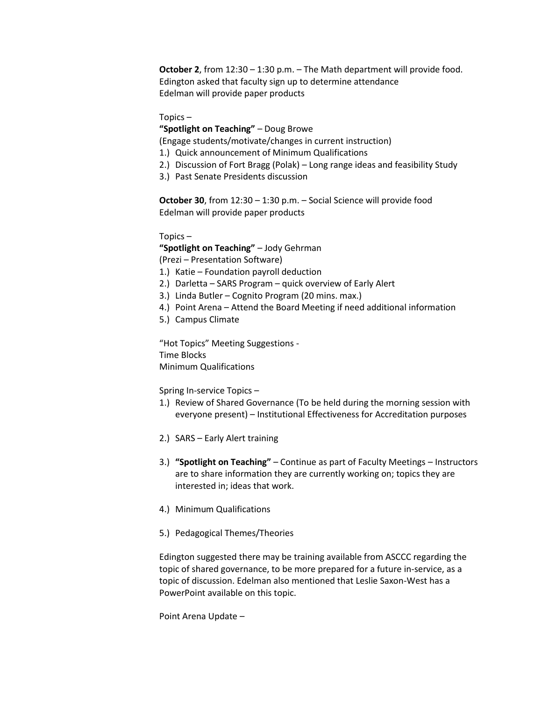**October 2**, from 12:30 – 1:30 p.m. – The Math department will provide food. Edington asked that faculty sign up to determine attendance Edelman will provide paper products

Topics –

**"Spotlight on Teaching"** – Doug Browe

(Engage students/motivate/changes in current instruction)

- 1.) Quick announcement of Minimum Qualifications
- 2.) Discussion of Fort Bragg (Polak) Long range ideas and feasibility Study
- 3.) Past Senate Presidents discussion

**October 30**, from 12:30 – 1:30 p.m. – Social Science will provide food Edelman will provide paper products

Topics –

**"Spotlight on Teaching"** – Jody Gehrman

(Prezi – Presentation Software)

- 1.) Katie Foundation payroll deduction
- 2.) Darletta SARS Program quick overview of Early Alert
- 3.) Linda Butler Cognito Program (20 mins. max.)
- 4.) Point Arena Attend the Board Meeting if need additional information
- 5.) Campus Climate

"Hot Topics" Meeting Suggestions - Time Blocks Minimum Qualifications

Spring In-service Topics –

- 1.) Review of Shared Governance (To be held during the morning session with everyone present) – Institutional Effectiveness for Accreditation purposes
- 2.) SARS Early Alert training
- 3.) **"Spotlight on Teaching"** Continue as part of Faculty Meetings Instructors are to share information they are currently working on; topics they are interested in; ideas that work.
- 4.) Minimum Qualifications
- 5.) Pedagogical Themes/Theories

Edington suggested there may be training available from ASCCC regarding the topic of shared governance, to be more prepared for a future in-service, as a topic of discussion. Edelman also mentioned that Leslie Saxon-West has a PowerPoint available on this topic.

Point Arena Update –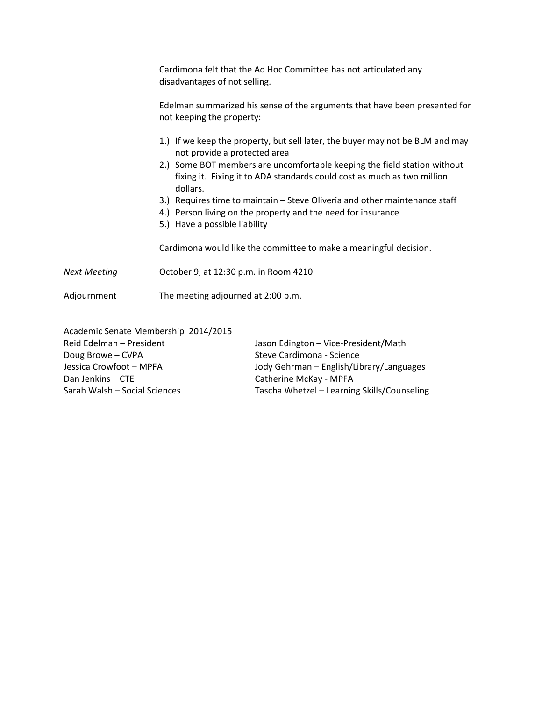|                     | Cardimona felt that the Ad Hoc Committee has not articulated any<br>disadvantages of not selling.                                                                           |
|---------------------|-----------------------------------------------------------------------------------------------------------------------------------------------------------------------------|
|                     | Edelman summarized his sense of the arguments that have been presented for<br>not keeping the property:                                                                     |
|                     | 1.) If we keep the property, but sell later, the buyer may not be BLM and may<br>not provide a protected area                                                               |
|                     | 2.) Some BOT members are uncomfortable keeping the field station without<br>fixing it. Fixing it to ADA standards could cost as much as two million<br>dollars.             |
|                     | 3.) Requires time to maintain - Steve Oliveria and other maintenance staff<br>4.) Person living on the property and the need for insurance<br>5.) Have a possible liability |
|                     | Cardimona would like the committee to make a meaningful decision.                                                                                                           |
| <b>Next Meeting</b> | October 9, at 12:30 p.m. in Room 4210                                                                                                                                       |
| Adjournment         | The meeting adjourned at 2:00 p.m.                                                                                                                                          |

Academic Senate Membership 2014/2015 Reid Edelman – President Vasual Lason Edington – Vice-President/Math Doug Browe – CVPA<br>
Jessica Crowfoot – MPFA<br>
Jody Gehrman – English/Lib Dan Jenkins – CTE Catherine McKay - MPFA Sarah Walsh – Social Sciences Tascha Whetzel – Learning Skills/Counseling

Jody Gehrman – English/Library/Languages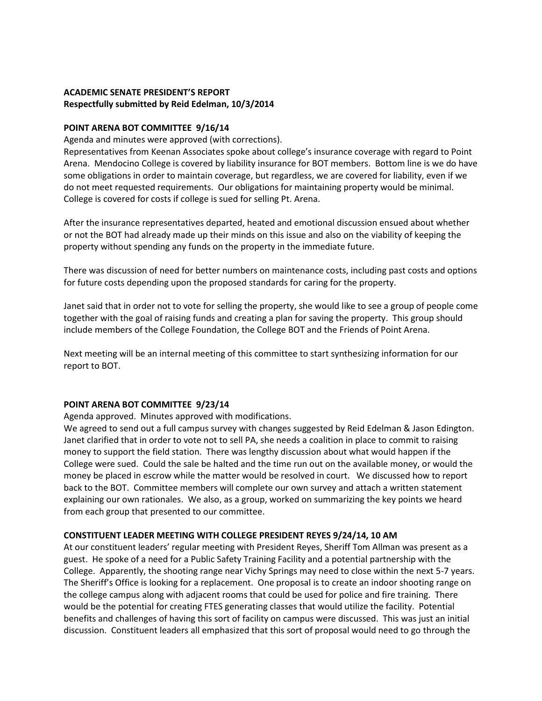## **ACADEMIC SENATE PRESIDENT'S REPORT Respectfully submitted by Reid Edelman, 10/3/2014**

### **POINT ARENA BOT COMMITTEE 9/16/14**

Agenda and minutes were approved (with corrections).

Representatives from Keenan Associates spoke about college's insurance coverage with regard to Point Arena. Mendocino College is covered by liability insurance for BOT members. Bottom line is we do have some obligations in order to maintain coverage, but regardless, we are covered for liability, even if we do not meet requested requirements. Our obligations for maintaining property would be minimal. College is covered for costs if college is sued for selling Pt. Arena.

After the insurance representatives departed, heated and emotional discussion ensued about whether or not the BOT had already made up their minds on this issue and also on the viability of keeping the property without spending any funds on the property in the immediate future.

There was discussion of need for better numbers on maintenance costs, including past costs and options for future costs depending upon the proposed standards for caring for the property.

Janet said that in order not to vote for selling the property, she would like to see a group of people come together with the goal of raising funds and creating a plan for saving the property. This group should include members of the College Foundation, the College BOT and the Friends of Point Arena.

Next meeting will be an internal meeting of this committee to start synthesizing information for our report to BOT.

#### **POINT ARENA BOT COMMITTEE 9/23/14**

Agenda approved. Minutes approved with modifications.

We agreed to send out a full campus survey with changes suggested by Reid Edelman & Jason Edington. Janet clarified that in order to vote not to sell PA, she needs a coalition in place to commit to raising money to support the field station. There was lengthy discussion about what would happen if the College were sued. Could the sale be halted and the time run out on the available money, or would the money be placed in escrow while the matter would be resolved in court. We discussed how to report back to the BOT. Committee members will complete our own survey and attach a written statement explaining our own rationales. We also, as a group, worked on summarizing the key points we heard from each group that presented to our committee.

#### **CONSTITUENT LEADER MEETING WITH COLLEGE PRESIDENT REYES 9/24/14, 10 AM**

At our constituent leaders' regular meeting with President Reyes, Sheriff Tom Allman was present as a guest. He spoke of a need for a Public Safety Training Facility and a potential partnership with the College. Apparently, the shooting range near Vichy Springs may need to close within the next 5-7 years. The Sheriff's Office is looking for a replacement. One proposal is to create an indoor shooting range on the college campus along with adjacent rooms that could be used for police and fire training. There would be the potential for creating FTES generating classes that would utilize the facility. Potential benefits and challenges of having this sort of facility on campus were discussed. This was just an initial discussion. Constituent leaders all emphasized that this sort of proposal would need to go through the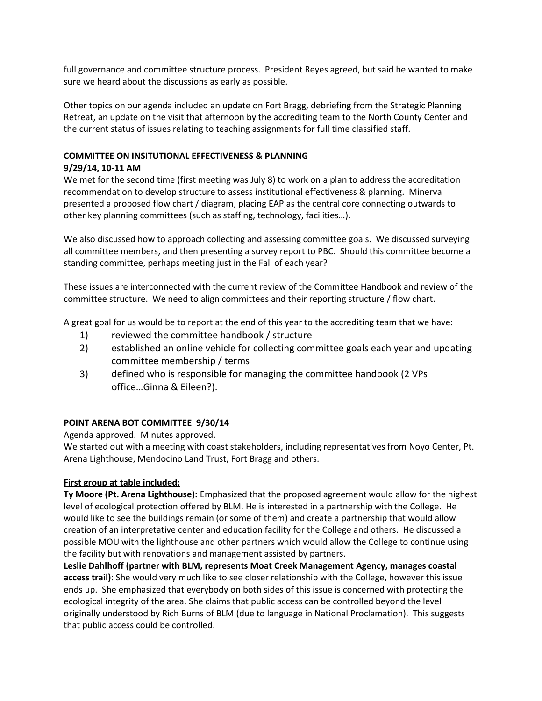full governance and committee structure process. President Reyes agreed, but said he wanted to make sure we heard about the discussions as early as possible.

Other topics on our agenda included an update on Fort Bragg, debriefing from the Strategic Planning Retreat, an update on the visit that afternoon by the accrediting team to the North County Center and the current status of issues relating to teaching assignments for full time classified staff.

## **COMMITTEE ON INSITUTIONAL EFFECTIVENESS & PLANNING**

### **9/29/14, 10-11 AM**

We met for the second time (first meeting was July 8) to work on a plan to address the accreditation recommendation to develop structure to assess institutional effectiveness & planning. Minerva presented a proposed flow chart / diagram, placing EAP as the central core connecting outwards to other key planning committees (such as staffing, technology, facilities…).

We also discussed how to approach collecting and assessing committee goals. We discussed surveying all committee members, and then presenting a survey report to PBC. Should this committee become a standing committee, perhaps meeting just in the Fall of each year?

These issues are interconnected with the current review of the Committee Handbook and review of the committee structure. We need to align committees and their reporting structure / flow chart.

A great goal for us would be to report at the end of this year to the accrediting team that we have:

- 1) reviewed the committee handbook / structure
- 2) established an online vehicle for collecting committee goals each year and updating committee membership / terms
- 3) defined who is responsible for managing the committee handbook (2 VPs office…Ginna & Eileen?).

## **POINT ARENA BOT COMMITTEE 9/30/14**

Agenda approved. Minutes approved.

We started out with a meeting with coast stakeholders, including representatives from Noyo Center, Pt. Arena Lighthouse, Mendocino Land Trust, Fort Bragg and others.

#### **First group at table included:**

**Ty Moore (Pt. Arena Lighthouse):** Emphasized that the proposed agreement would allow for the highest level of ecological protection offered by BLM. He is interested in a partnership with the College. He would like to see the buildings remain (or some of them) and create a partnership that would allow creation of an interpretative center and education facility for the College and others. He discussed a possible MOU with the lighthouse and other partners which would allow the College to continue using the facility but with renovations and management assisted by partners.

**Leslie Dahlhoff (partner with BLM, represents Moat Creek Management Agency, manages coastal access trail)**: She would very much like to see closer relationship with the College, however this issue ends up. She emphasized that everybody on both sides of this issue is concerned with protecting the ecological integrity of the area. She claims that public access can be controlled beyond the level originally understood by Rich Burns of BLM (due to language in National Proclamation). This suggests that public access could be controlled.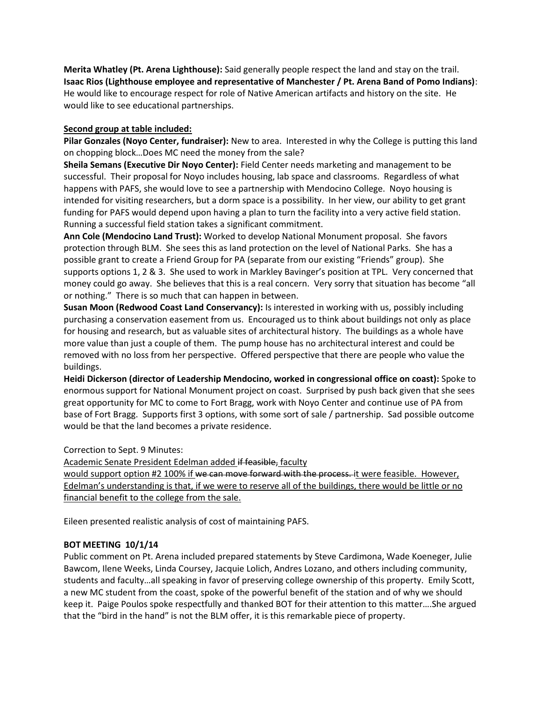**Merita Whatley (Pt. Arena Lighthouse):** Said generally people respect the land and stay on the trail. **Isaac Rios (Lighthouse employee and representative of Manchester / Pt. Arena Band of Pomo Indians)**: He would like to encourage respect for role of Native American artifacts and history on the site. He would like to see educational partnerships.

## **Second group at table included:**

**Pilar Gonzales (Noyo Center, fundraiser):** New to area. Interested in why the College is putting this land on chopping block…Does MC need the money from the sale?

**Sheila Semans (Executive Dir Noyo Center):** Field Center needs marketing and management to be successful. Their proposal for Noyo includes housing, lab space and classrooms. Regardless of what happens with PAFS, she would love to see a partnership with Mendocino College. Noyo housing is intended for visiting researchers, but a dorm space is a possibility. In her view, our ability to get grant funding for PAFS would depend upon having a plan to turn the facility into a very active field station. Running a successful field station takes a significant commitment.

**Ann Cole (Mendocino Land Trust):** Worked to develop National Monument proposal. She favors protection through BLM. She sees this as land protection on the level of National Parks. She has a possible grant to create a Friend Group for PA (separate from our existing "Friends" group). She supports options 1, 2 & 3. She used to work in Markley Bavinger's position at TPL. Very concerned that money could go away. She believes that this is a real concern. Very sorry that situation has become "all or nothing." There is so much that can happen in between.

**Susan Moon (Redwood Coast Land Conservancy):** Is interested in working with us, possibly including purchasing a conservation easement from us. Encouraged us to think about buildings not only as place for housing and research, but as valuable sites of architectural history. The buildings as a whole have more value than just a couple of them. The pump house has no architectural interest and could be removed with no loss from her perspective. Offered perspective that there are people who value the buildings.

**Heidi Dickerson (director of Leadership Mendocino, worked in congressional office on coast):** Spoke to enormous support for National Monument project on coast. Surprised by push back given that she sees great opportunity for MC to come to Fort Bragg, work with Noyo Center and continue use of PA from base of Fort Bragg. Supports first 3 options, with some sort of sale / partnership. Sad possible outcome would be that the land becomes a private residence.

Correction to Sept. 9 Minutes:

Academic Senate President Edelman added if feasible, faculty would support option #2 100% if we can move forward with the process. it were feasible. However, Edelman's understanding is that, if we were to reserve all of the buildings, there would be little or no financial benefit to the college from the sale.

Eileen presented realistic analysis of cost of maintaining PAFS.

## **BOT MEETING 10/1/14**

Public comment on Pt. Arena included prepared statements by Steve Cardimona, Wade Koeneger, Julie Bawcom, Ilene Weeks, Linda Coursey, Jacquie Lolich, Andres Lozano, and others including community, students and faculty…all speaking in favor of preserving college ownership of this property. Emily Scott, a new MC student from the coast, spoke of the powerful benefit of the station and of why we should keep it. Paige Poulos spoke respectfully and thanked BOT for their attention to this matter….She argued that the "bird in the hand" is not the BLM offer, it is this remarkable piece of property.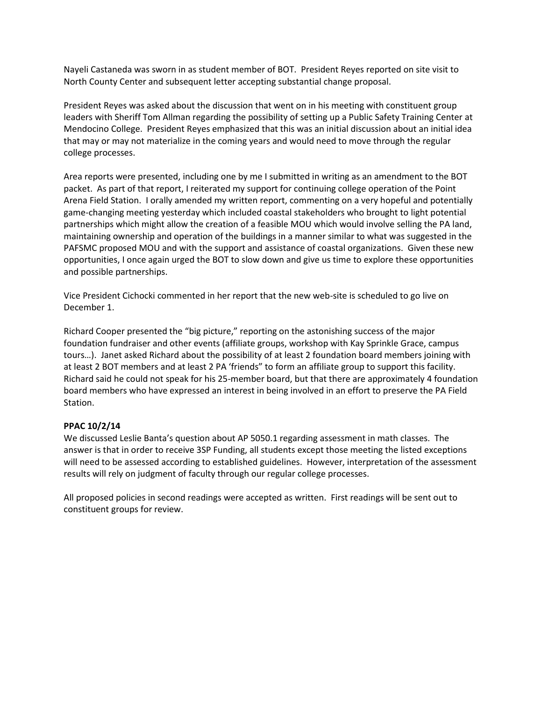Nayeli Castaneda was sworn in as student member of BOT. President Reyes reported on site visit to North County Center and subsequent letter accepting substantial change proposal.

President Reyes was asked about the discussion that went on in his meeting with constituent group leaders with Sheriff Tom Allman regarding the possibility of setting up a Public Safety Training Center at Mendocino College. President Reyes emphasized that this was an initial discussion about an initial idea that may or may not materialize in the coming years and would need to move through the regular college processes.

Area reports were presented, including one by me I submitted in writing as an amendment to the BOT packet. As part of that report, I reiterated my support for continuing college operation of the Point Arena Field Station. I orally amended my written report, commenting on a very hopeful and potentially game-changing meeting yesterday which included coastal stakeholders who brought to light potential partnerships which might allow the creation of a feasible MOU which would involve selling the PA land, maintaining ownership and operation of the buildings in a manner similar to what was suggested in the PAFSMC proposed MOU and with the support and assistance of coastal organizations. Given these new opportunities, I once again urged the BOT to slow down and give us time to explore these opportunities and possible partnerships.

Vice President Cichocki commented in her report that the new web-site is scheduled to go live on December 1.

Richard Cooper presented the "big picture," reporting on the astonishing success of the major foundation fundraiser and other events (affiliate groups, workshop with Kay Sprinkle Grace, campus tours…). Janet asked Richard about the possibility of at least 2 foundation board members joining with at least 2 BOT members and at least 2 PA 'friends" to form an affiliate group to support this facility. Richard said he could not speak for his 25-member board, but that there are approximately 4 foundation board members who have expressed an interest in being involved in an effort to preserve the PA Field Station.

#### **PPAC 10/2/14**

We discussed Leslie Banta's question about AP 5050.1 regarding assessment in math classes. The answer is that in order to receive 3SP Funding, all students except those meeting the listed exceptions will need to be assessed according to established guidelines. However, interpretation of the assessment results will rely on judgment of faculty through our regular college processes.

All proposed policies in second readings were accepted as written. First readings will be sent out to constituent groups for review.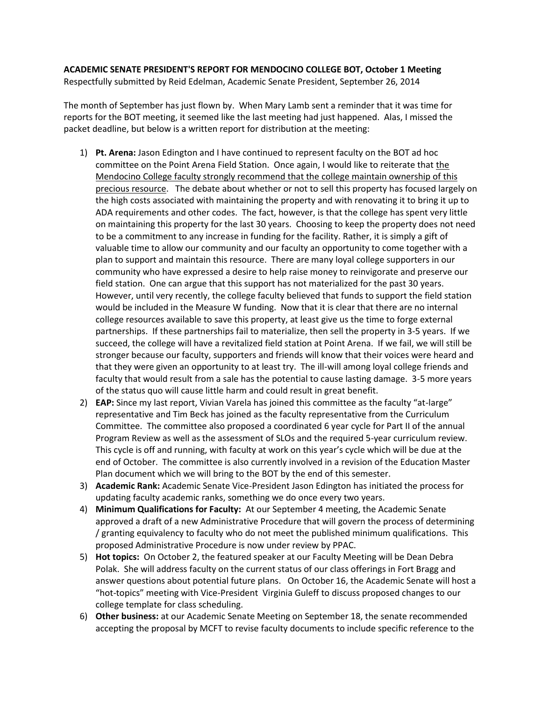## **ACADEMIC SENATE PRESIDENT'S REPORT FOR MENDOCINO COLLEGE BOT, October 1 Meeting** Respectfully submitted by Reid Edelman, Academic Senate President, September 26, 2014

The month of September has just flown by. When Mary Lamb sent a reminder that it was time for reports for the BOT meeting, it seemed like the last meeting had just happened. Alas, I missed the packet deadline, but below is a written report for distribution at the meeting:

- 1) **Pt. Arena:** Jason Edington and I have continued to represent faculty on the BOT ad hoc committee on the Point Arena Field Station. Once again, I would like to reiterate that the Mendocino College faculty strongly recommend that the college maintain ownership of this precious resource. The debate about whether or not to sell this property has focused largely on the high costs associated with maintaining the property and with renovating it to bring it up to ADA requirements and other codes. The fact, however, is that the college has spent very little on maintaining this property for the last 30 years. Choosing to keep the property does not need to be a commitment to any increase in funding for the facility. Rather, it is simply a gift of valuable time to allow our community and our faculty an opportunity to come together with a plan to support and maintain this resource. There are many loyal college supporters in our community who have expressed a desire to help raise money to reinvigorate and preserve our field station. One can argue that this support has not materialized for the past 30 years. However, until very recently, the college faculty believed that funds to support the field station would be included in the Measure W funding. Now that it is clear that there are no internal college resources available to save this property, at least give us the time to forge external partnerships. If these partnerships fail to materialize, then sell the property in 3-5 years. If we succeed, the college will have a revitalized field station at Point Arena. If we fail, we will still be stronger because our faculty, supporters and friends will know that their voices were heard and that they were given an opportunity to at least try. The ill-will among loyal college friends and faculty that would result from a sale has the potential to cause lasting damage. 3-5 more years of the status quo will cause little harm and could result in great benefit.
- 2) **EAP:** Since my last report, Vivian Varela has joined this committee as the faculty "at-large" representative and Tim Beck has joined as the faculty representative from the Curriculum Committee. The committee also proposed a coordinated 6 year cycle for Part II of the annual Program Review as well as the assessment of SLOs and the required 5-year curriculum review. This cycle is off and running, with faculty at work on this year's cycle which will be due at the end of October. The committee is also currently involved in a revision of the Education Master Plan document which we will bring to the BOT by the end of this semester.
- 3) **Academic Rank:** Academic Senate Vice-President Jason Edington has initiated the process for updating faculty academic ranks, something we do once every two years.
- 4) **Minimum Qualifications for Faculty:** At our September 4 meeting, the Academic Senate approved a draft of a new Administrative Procedure that will govern the process of determining / granting equivalency to faculty who do not meet the published minimum qualifications. This proposed Administrative Procedure is now under review by PPAC.
- 5) **Hot topics:** On October 2, the featured speaker at our Faculty Meeting will be Dean Debra Polak. She will address faculty on the current status of our class offerings in Fort Bragg and answer questions about potential future plans. On October 16, the Academic Senate will host a "hot-topics" meeting with Vice-President Virginia Guleff to discuss proposed changes to our college template for class scheduling.
- 6) **Other business:** at our Academic Senate Meeting on September 18, the senate recommended accepting the proposal by MCFT to revise faculty documents to include specific reference to the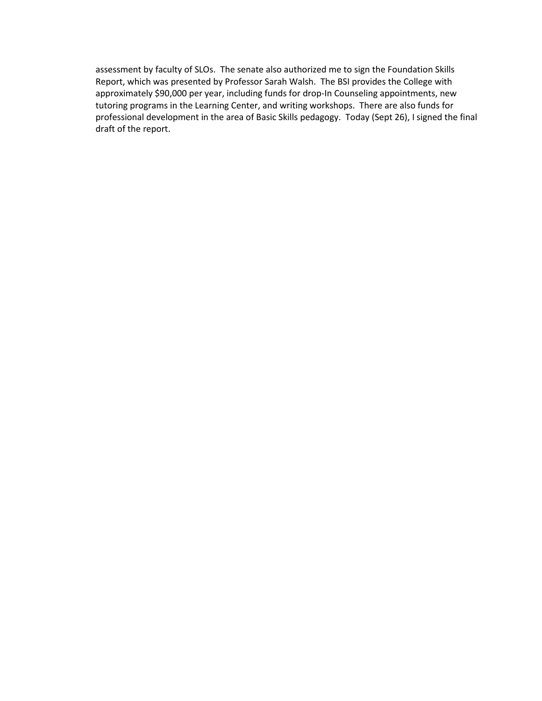assessment by faculty of SLOs. The senate also authorized me to sign the Foundation Skills Report, which was presented by Professor Sarah Walsh. The BSI provides the College with approximately \$90,000 per year, including funds for drop-In Counseling appointments, new tutoring programs in the Learning Center, and writing workshops. There are also funds for professional development in the area of Basic Skills pedagogy. Today (Sept 26), I signed the final draft of the report.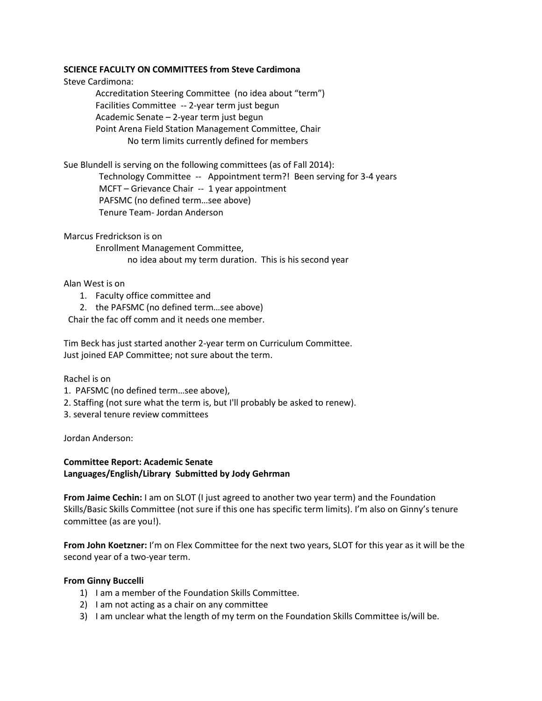#### **SCIENCE FACULTY ON COMMITTEES from Steve Cardimona**

Steve Cardimona:

Accreditation Steering Committee (no idea about "term") Facilities Committee -- 2-year term just begun Academic Senate – 2-year term just begun Point Arena Field Station Management Committee, Chair No term limits currently defined for members

Sue Blundell is serving on the following committees (as of Fall 2014):

 Technology Committee -- Appointment term?! Been serving for 3-4 years MCFT – Grievance Chair -- 1 year appointment PAFSMC (no defined term…see above) Tenure Team- Jordan Anderson

Marcus Fredrickson is on

Enrollment Management Committee, no idea about my term duration. This is his second year

Alan West is on

- 1. Faculty office committee and
- 2. the PAFSMC (no defined term…see above)

Chair the fac off comm and it needs one member.

Tim Beck has just started another 2-year term on Curriculum Committee. Just joined EAP Committee; not sure about the term.

Rachel is on

- 1. PAFSMC (no defined term…see above),
- 2. Staffing (not sure what the term is, but I'll probably be asked to renew).
- 3. several tenure review committees

Jordan Anderson:

#### **Committee Report: Academic Senate Languages/English/Library Submitted by Jody Gehrman**

**From Jaime Cechin:** I am on SLOT (I just agreed to another two year term) and the Foundation Skills/Basic Skills Committee (not sure if this one has specific term limits). I'm also on Ginny's tenure committee (as are you!).

**From John Koetzner:** I'm on Flex Committee for the next two years, SLOT for this year as it will be the second year of a two-year term.

#### **From Ginny Buccelli**

- 1) I am a member of the Foundation Skills Committee.
- 2) I am not acting as a chair on any committee
- 3) I am unclear what the length of my term on the Foundation Skills Committee is/will be.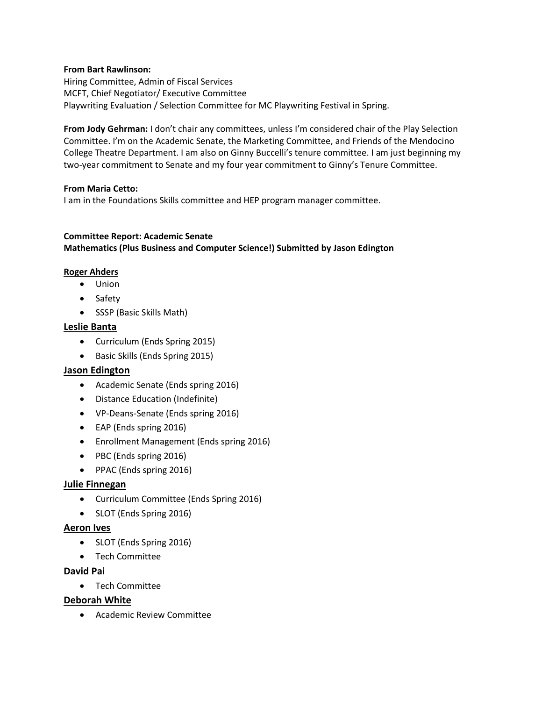#### **From Bart Rawlinson:**

Hiring Committee, Admin of Fiscal Services MCFT, Chief Negotiator/ Executive Committee Playwriting Evaluation / Selection Committee for MC Playwriting Festival in Spring.

**From Jody Gehrman:** I don't chair any committees, unless I'm considered chair of the Play Selection Committee. I'm on the Academic Senate, the Marketing Committee, and Friends of the Mendocino College Theatre Department. I am also on Ginny Buccelli's tenure committee. I am just beginning my two-year commitment to Senate and my four year commitment to Ginny's Tenure Committee.

#### **From Maria Cetto:**

I am in the Foundations Skills committee and HEP program manager committee.

### **Committee Report: Academic Senate Mathematics (Plus Business and Computer Science!) Submitted by Jason Edington**

#### **Roger Ahders**

- Union
- Safety
- SSSP (Basic Skills Math)

#### **Leslie Banta**

- Curriculum (Ends Spring 2015)
- Basic Skills (Ends Spring 2015)

#### **Jason Edington**

- Academic Senate (Ends spring 2016)
- Distance Education (Indefinite)
- VP-Deans-Senate (Ends spring 2016)
- EAP (Ends spring 2016)
- Enrollment Management (Ends spring 2016)
- PBC (Ends spring 2016)
- PPAC (Ends spring 2016)

## **Julie Finnegan**

- Curriculum Committee (Ends Spring 2016)
- SLOT (Ends Spring 2016)

#### **Aeron Ives**

- SLOT (Ends Spring 2016)
- Tech Committee

#### **David Pai**

Tech Committee

#### **Deborah White**

Academic Review Committee